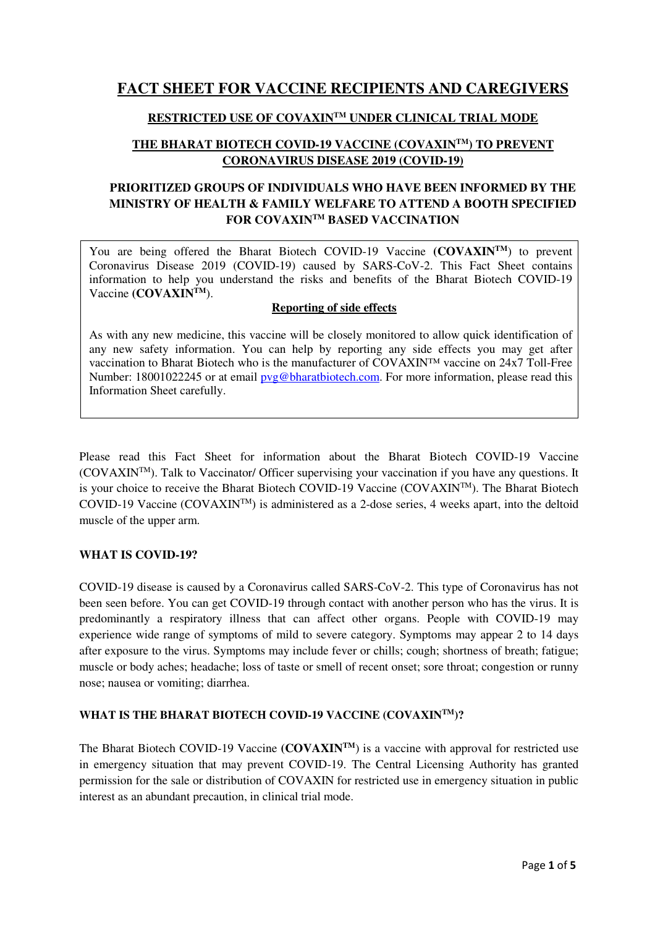# **FACT SHEET FOR VACCINE RECIPIENTS AND CAREGIVERS**

# **RESTRICTED USE OF COVAXINTM UNDER CLINICAL TRIAL MODE**

# **THE BHARAT BIOTECH COVID-19 VACCINE (COVAXINTM) TO PREVENT CORONAVIRUS DISEASE 2019 (COVID-19)**

# **PRIORITIZED GROUPS OF INDIVIDUALS WHO HAVE BEEN INFORMED BY THE MINISTRY OF HEALTH & FAMILY WELFARE TO ATTEND A BOOTH SPECIFIED FOR COVAXINTM BASED VACCINATION**

You are being offered the Bharat Biotech COVID-19 Vaccine **(COVAXIN<sup>TM</sup>)** to prevent Coronavirus Disease 2019 (COVID-19) caused by SARS-CoV-2. This Fact Sheet contains information to help you understand the risks and benefits of the Bharat Biotech COVID-19 Vaccine **(COVAXINTM**).

### **Reporting of side effects**

As with any new medicine, this vaccine will be closely monitored to allow quick identification of any new safety information. You can help by reporting any side effects you may get after vaccination to Bharat Biotech who is the manufacturer of COVAXIN™ vaccine on 24x7 Toll-Free Number: 18001022245 or at email  $pvg@bharathiotech.com$ . For more information, please read this Information Sheet carefully.

Please read this Fact Sheet for information about the Bharat Biotech COVID-19 Vaccine  $(COVAXIN<sup>TM</sup>)$ . Talk to Vaccinator/ Officer supervising your vaccination if you have any questions. It is your choice to receive the Bharat Biotech COVID-19 Vaccine (COVAXINTM). The Bharat Biotech COVID-19 Vaccine (COVAXIN<sup>TM</sup>) is administered as a 2-dose series, 4 weeks apart, into the deltoid muscle of the upper arm.

# **WHAT IS COVID-19?**

COVID-19 disease is caused by a Coronavirus called SARS-CoV-2. This type of Coronavirus has not been seen before. You can get COVID-19 through contact with another person who has the virus. It is predominantly a respiratory illness that can affect other organs. People with COVID-19 may experience wide range of symptoms of mild to severe category. Symptoms may appear 2 to 14 days after exposure to the virus. Symptoms may include fever or chills; cough; shortness of breath; fatigue; muscle or body aches; headache; loss of taste or smell of recent onset; sore throat; congestion or runny nose; nausea or vomiting; diarrhea.

# **WHAT IS THE BHARAT BIOTECH COVID-19 VACCINE (COVAXINTM)?**

The Bharat Biotech COVID-19 Vaccine (COVAXIN<sup>TM</sup>) is a vaccine with approval for restricted use in emergency situation that may prevent COVID-19. The Central Licensing Authority has granted permission for the sale or distribution of COVAXIN for restricted use in emergency situation in public interest as an abundant precaution, in clinical trial mode.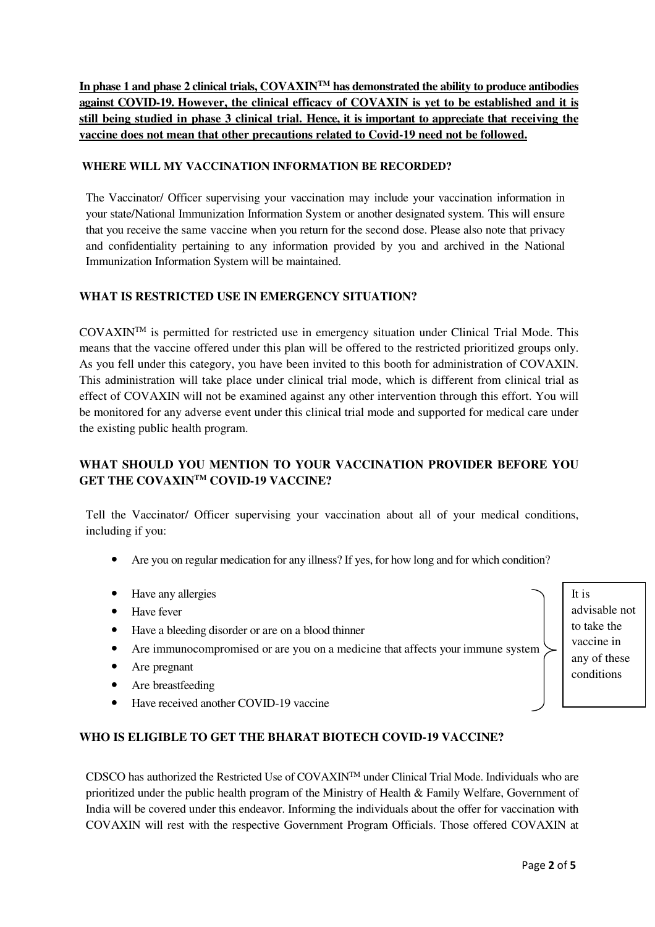**In phase 1 and phase 2 clinical trials, COVAXINTM has demonstrated the ability to produce antibodies against COVID-19. However, the clinical efficacy of COVAXIN is yet to be established and it is still being studied in phase 3 clinical trial. Hence, it is important to appreciate that receiving the vaccine does not mean that other precautions related to Covid-19 need not be followed.** 

### **WHERE WILL MY VACCINATION INFORMATION BE RECORDED?**

The Vaccinator/ Officer supervising your vaccination may include your vaccination information in your state/National Immunization Information System or another designated system. This will ensure that you receive the same vaccine when you return for the second dose. Please also note that privacy and confidentiality pertaining to any information provided by you and archived in the National Immunization Information System will be maintained.

# **WHAT IS RESTRICTED USE IN EMERGENCY SITUATION?**

COVAXINTM is permitted for restricted use in emergency situation under Clinical Trial Mode. This means that the vaccine offered under this plan will be offered to the restricted prioritized groups only. As you fell under this category, you have been invited to this booth for administration of COVAXIN. This administration will take place under clinical trial mode, which is different from clinical trial as effect of COVAXIN will not be examined against any other intervention through this effort. You will be monitored for any adverse event under this clinical trial mode and supported for medical care under the existing public health program.

# **WHAT SHOULD YOU MENTION TO YOUR VACCINATION PROVIDER BEFORE YOU GET THE COVAXINTM COVID-19 VACCINE?**

Tell the Vaccinator/ Officer supervising your vaccination about all of your medical conditions, including if you:

- Are you on regular medication for any illness? If yes, for how long and for which condition?
- Have any allergies
- Have fever
- Have a bleeding disorder or are on a blood thinner
- Are immunocompromised or are you on a medicine that affects your immune system
- Are pregnant
- Are breastfeeding
- Have received another COVID-19 vaccine

# **WHO IS ELIGIBLE TO GET THE BHARAT BIOTECH COVID-19 VACCINE?**

CDSCO has authorized the Restricted Use of COVAXINTM under Clinical Trial Mode. Individuals who are prioritized under the public health program of the Ministry of Health & Family Welfare, Government of India will be covered under this endeavor. Informing the individuals about the offer for vaccination with COVAXIN will rest with the respective Government Program Officials. Those offered COVAXIN at

It is advisable not to take the vaccine in any of these conditions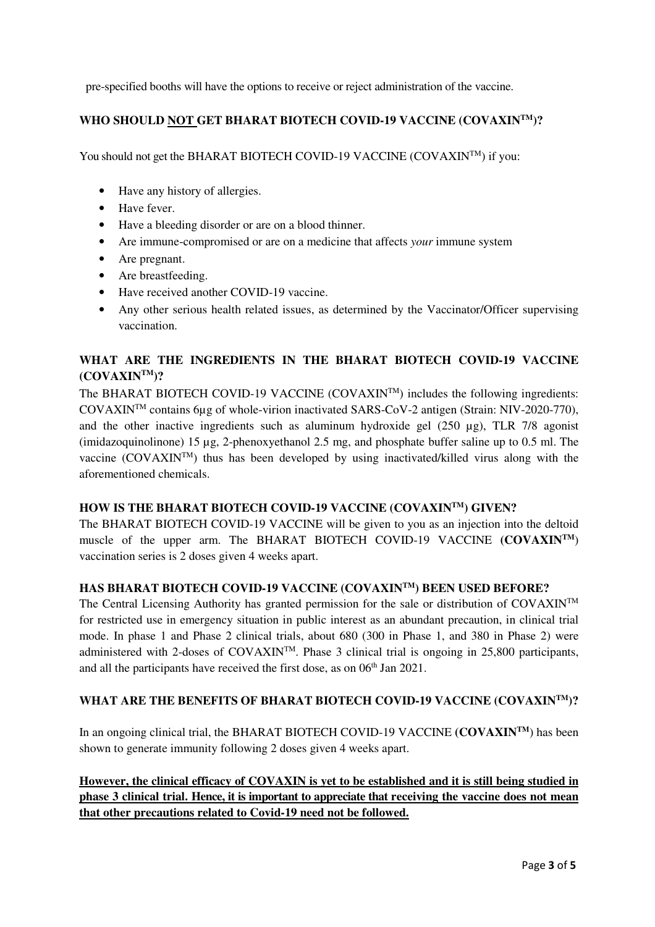pre-specified booths will have the options to receive or reject administration of the vaccine.

### **WHO SHOULD NOT GET BHARAT BIOTECH COVID-19 VACCINE (COVAXINTM)?**

You should not get the BHARAT BIOTECH COVID-19 VACCINE (COVAXIN<sup>TM</sup>) if you:

- Have any history of allergies.
- Have fever.
- Have a bleeding disorder or are on a blood thinner.
- Are immune-compromised or are on a medicine that affects *your* immune system
- Are pregnant.
- Are breastfeeding.
- Have received another COVID-19 vaccine.
- Any other serious health related issues, as determined by the Vaccinator/Officer supervising vaccination.

# **WHAT ARE THE INGREDIENTS IN THE BHARAT BIOTECH COVID-19 VACCINE (COVAXINTM)?**

The BHARAT BIOTECH COVID-19 VACCINE  $(COVAXIN^{TM})$  includes the following ingredients: COVAXINTM contains 6µg of whole-virion inactivated SARS-CoV-2 antigen (Strain: NIV-2020-770), and the other inactive ingredients such as aluminum hydroxide gel (250 µg), TLR 7/8 agonist (imidazoquinolinone) 15 µg, 2-phenoxyethanol 2.5 mg, and phosphate buffer saline up to 0.5 ml. The vaccine (COVAXIN<sup>TM</sup>) thus has been developed by using inactivated/killed virus along with the aforementioned chemicals.

### **HOW IS THE BHARAT BIOTECH COVID-19 VACCINE (COVAXINTM) GIVEN?**

The BHARAT BIOTECH COVID-19 VACCINE will be given to you as an injection into the deltoid muscle of the upper arm. The BHARAT BIOTECH COVID-19 VACCINE **(COVAXINTM**) vaccination series is 2 doses given 4 weeks apart.

#### **HAS BHARAT BIOTECH COVID-19 VACCINE (COVAXINTM) BEEN USED BEFORE?**

The Central Licensing Authority has granted permission for the sale or distribution of COVAXINTM for restricted use in emergency situation in public interest as an abundant precaution, in clinical trial mode. In phase 1 and Phase 2 clinical trials, about 680 (300 in Phase 1, and 380 in Phase 2) were administered with 2-doses of  $COVAXIN^{TM}$ . Phase 3 clinical trial is ongoing in 25,800 participants, and all the participants have received the first dose, as on  $06<sup>th</sup>$  Jan 2021.

#### **WHAT ARE THE BENEFITS OF BHARAT BIOTECH COVID-19 VACCINE (COVAXINTM)?**

In an ongoing clinical trial, the BHARAT BIOTECH COVID-19 VACCINE **(COVAXIN<sup>TM</sup>)** has been shown to generate immunity following 2 doses given 4 weeks apart.

**However, the clinical efficacy of COVAXIN is yet to be established and it is still being studied in phase 3 clinical trial. Hence, it is important to appreciate that receiving the vaccine does not mean that other precautions related to Covid-19 need not be followed.**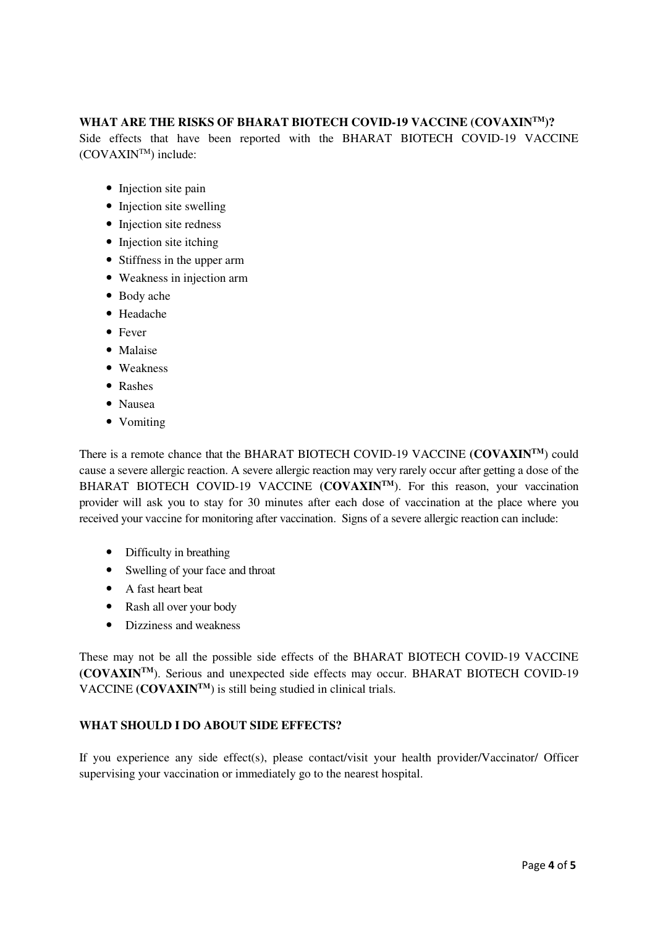# **WHAT ARE THE RISKS OF BHARAT BIOTECH COVID-19 VACCINE (COVAXINTM)?**

Side effects that have been reported with the BHARAT BIOTECH COVID-19 VACCINE (COVAXINTM) include:

- Injection site pain
- Injection site swelling
- Injection site redness
- Injection site itching
- Stiffness in the upper arm
- Weakness in injection arm
- Body ache
- Headache
- Fever
- Malaise
- Weakness
- Rashes
- Nausea
- Vomiting

There is a remote chance that the BHARAT BIOTECH COVID-19 VACCINE **(COVAXINTM**) could cause a severe allergic reaction. A severe allergic reaction may very rarely occur after getting a dose of the BHARAT BIOTECH COVID-19 VACCINE (COVAXIN<sup>TM</sup>). For this reason, your vaccination provider will ask you to stay for 30 minutes after each dose of vaccination at the place where you received your vaccine for monitoring after vaccination. Signs of a severe allergic reaction can include:

- Difficulty in breathing
- Swelling of your face and throat
- A fast heart beat
- Rash all over your body
- Dizziness and weakness

These may not be all the possible side effects of the BHARAT BIOTECH COVID-19 VACCINE **(COVAXINTM**). Serious and unexpected side effects may occur. BHARAT BIOTECH COVID-19 VACCINE **(COVAXINTM**) is still being studied in clinical trials.

#### **WHAT SHOULD I DO ABOUT SIDE EFFECTS?**

If you experience any side effect(s), please contact/visit your health provider/Vaccinator/ Officer supervising your vaccination or immediately go to the nearest hospital.